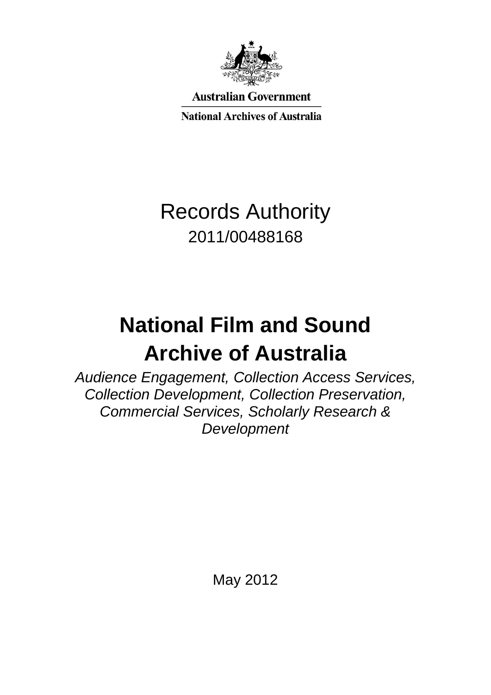

**Australian Government** 

**National Archives of Australia** 

# Records Authority 2011/00488168

# **National Film and Sound Archive of Australia**

*Audience Engagement, Collection Access Services, Collection Development, Collection Preservation, Commercial Services, Scholarly Research & Development* 

May 2012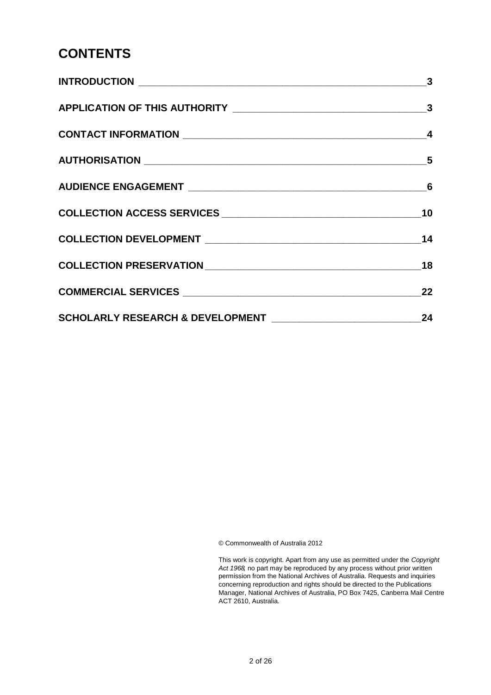### **CONTENTS**

| $\sim$ 3 |
|----------|
|          |
|          |
|          |
|          |
|          |
|          |
|          |
| 22       |
| 24       |

© Commonwealth of Australia 2012

This work is copyright. Apart from any use as permitted under the *Copyright Act 1968,* no part may be reproduced by any process without prior written permission from the National Archives of Australia. Requests and inquiries concerning reproduction and rights should be directed to the Publications Manager, National Archives of Australia, PO Box 7425, Canberra Mail Centre ACT 2610, Australia.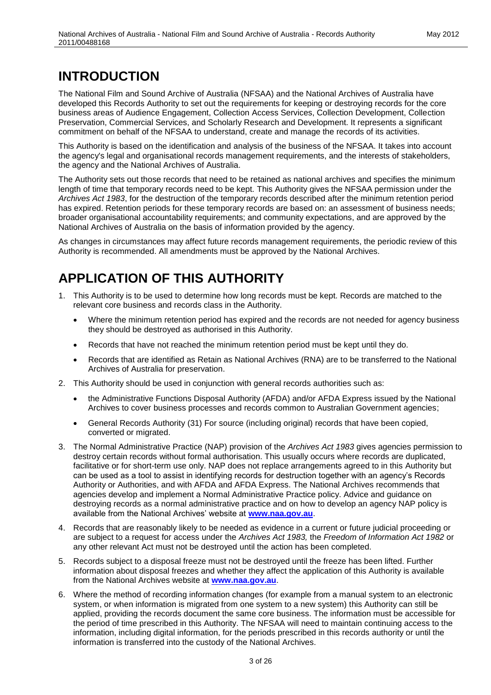#### **INTRODUCTION**

The National Film and Sound Archive of Australia (NFSAA) and the National Archives of Australia have developed this Records Authority to set out the requirements for keeping or destroying records for the core business areas of Audience Engagement, Collection Access Services, Collection Development, Collection Preservation, Commercial Services, and Scholarly Research and Development. It represents a significant commitment on behalf of the NFSAA to understand, create and manage the records of its activities.

This Authority is based on the identification and analysis of the business of the NFSAA. It takes into account the agency's legal and organisational records management requirements, and the interests of stakeholders, the agency and the National Archives of Australia.

The Authority sets out those records that need to be retained as national archives and specifies the minimum length of time that temporary records need to be kept. This Authority gives the NFSAA permission under the *Archives Act 1983*, for the destruction of the temporary records described after the minimum retention period has expired. Retention periods for these temporary records are based on: an assessment of business needs; broader organisational accountability requirements; and community expectations, and are approved by the National Archives of Australia on the basis of information provided by the agency.

As changes in circumstances may affect future records management requirements, the periodic review of this Authority is recommended. All amendments must be approved by the National Archives.

## **APPLICATION OF THIS AUTHORITY**

- 1. This Authority is to be used to determine how long records must be kept. Records are matched to the relevant core business and records class in the Authority.
	- Where the minimum retention period has expired and the records are not needed for agency business they should be destroyed as authorised in this Authority.
	- Records that have not reached the minimum retention period must be kept until they do.
	- Records that are identified as Retain as National Archives (RNA) are to be transferred to the National Archives of Australia for preservation.
- 2. This Authority should be used in conjunction with general records authorities such as:
	- the Administrative Functions Disposal Authority (AFDA) and/or AFDA Express issued by the National Archives to cover business processes and records common to Australian Government agencies;
	- General Records Authority (31) For source (including original) records that have been copied, converted or migrated.
- 3. The Normal Administrative Practice (NAP) provision of the *Archives Act 1983* gives agencies permission to destroy certain records without formal authorisation. This usually occurs where records are duplicated, facilitative or for short-term use only. NAP does not replace arrangements agreed to in this Authority but can be used as a tool to assist in identifying records for destruction together with an agency's Records Authority or Authorities, and with AFDA and AFDA Express. The National Archives recommends that agencies develop and implement a Normal Administrative Practice policy. Advice and guidance on destroying records as a normal administrative practice and on how to develop an agency NAP policy is available from the National Archives' website at **[www.naa.gov.au](http://www.naa.gov.au/)**.
- 4. Records that are reasonably likely to be needed as evidence in a current or future judicial proceeding or are subject to a request for access under the *Archives Act 1983,* the *Freedom of Information Act 1982* or any other relevant Act must not be destroyed until the action has been completed.
- 5. Records subject to a disposal freeze must not be destroyed until the freeze has been lifted. Further information about disposal freezes and whether they affect the application of this Authority is available from the National Archives website at **[www.naa.gov.au](http://www.naa.gov.au/)**.
- 6. Where the method of recording information changes (for example from a manual system to an electronic system, or when information is migrated from one system to a new system) this Authority can still be applied, providing the records document the same core business. The information must be accessible for the period of time prescribed in this Authority. The NFSAA will need to maintain continuing access to the information, including digital information, for the periods prescribed in this records authority or until the information is transferred into the custody of the National Archives.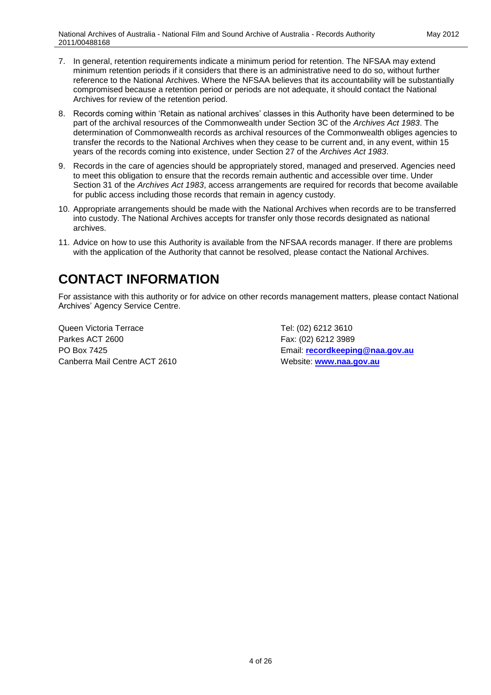- 7. In general, retention requirements indicate a minimum period for retention. The NFSAA may extend minimum retention periods if it considers that there is an administrative need to do so, without further reference to the National Archives. Where the NFSAA believes that its accountability will be substantially compromised because a retention period or periods are not adequate, it should contact the National Archives for review of the retention period.
- 8. Records coming within 'Retain as national archives' classes in this Authority have been determined to be part of the archival resources of the Commonwealth under Section 3C of the *Archives Act 1983*. The determination of Commonwealth records as archival resources of the Commonwealth obliges agencies to transfer the records to the National Archives when they cease to be current and, in any event, within 15 years of the records coming into existence, under Section 27 of the *Archives Act 1983*.
- 9. Records in the care of agencies should be appropriately stored, managed and preserved. Agencies need to meet this obligation to ensure that the records remain authentic and accessible over time. Under Section 31 of the *Archives Act 1983*, access arrangements are required for records that become available for public access including those records that remain in agency custody.
- 10. Appropriate arrangements should be made with the National Archives when records are to be transferred into custody. The National Archives accepts for transfer only those records designated as national archives.
- 11. Advice on how to use this Authority is available from the NFSAA records manager. If there are problems with the application of the Authority that cannot be resolved, please contact the National Archives.

#### **CONTACT INFORMATION**

For assistance with this authority or for advice on other records management matters, please contact National Archives' Agency Service Centre.

Queen Victoria Terrace Tel: (02) 6212 3610 Parkes ACT 2600 Fax: (02) 6212 3989 Canberra Mail Centre ACT 2610 Website: [www.naa.gov.au](http://www.naa.gov.au/)

PO Box 7425 Email: **[recordkeeping@naa.gov.au](mailto:recordkeeping@naa.gov.au)**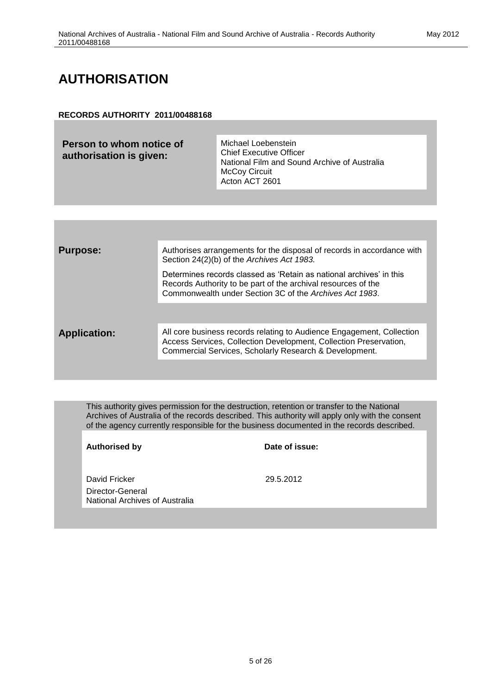# **AUTHORISATION**

#### **RECORDS AUTHORITY 2011/00488168**

| Person to whom notice of<br>authorisation is given: | Michael Loebenstein<br><b>Chief Executive Officer</b><br>National Film and Sound Archive of Australia<br><b>McCoy Circuit</b><br>Acton ACT 2601 |
|-----------------------------------------------------|-------------------------------------------------------------------------------------------------------------------------------------------------|
|                                                     |                                                                                                                                                 |

| <b>Purpose:</b>     | Authorises arrangements for the disposal of records in accordance with<br>Section 24(2)(b) of the Archives Act 1983.                                                                                 |
|---------------------|------------------------------------------------------------------------------------------------------------------------------------------------------------------------------------------------------|
|                     | Determines records classed as 'Retain as national archives' in this<br>Records Authority to be part of the archival resources of the<br>Commonwealth under Section 3C of the Archives Act 1983.      |
|                     |                                                                                                                                                                                                      |
| <b>Application:</b> | All core business records relating to Audience Engagement, Collection<br>Access Services, Collection Development, Collection Preservation,<br>Commercial Services, Scholarly Research & Development. |
|                     |                                                                                                                                                                                                      |

This authority gives permission for the destruction, retention or transfer to the National Archives of Australia of the records described. This authority will apply only with the consent of the agency currently responsible for the business documented in the records described.

| <b>Authorised by</b>                               | Date of issue: |
|----------------------------------------------------|----------------|
|                                                    |                |
| David Fricker                                      | 29.5.2012      |
| Director-General<br>National Archives of Australia |                |
|                                                    |                |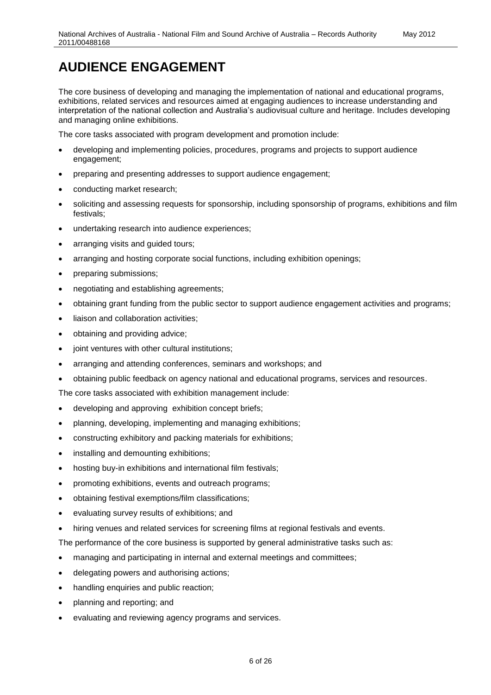The core business of developing and managing the implementation of national and educational programs, exhibitions, related services and resources aimed at engaging audiences to increase understanding and interpretation of the national collection and Australia's audiovisual culture and heritage. Includes developing and managing online exhibitions.

The core tasks associated with program development and promotion include:

- developing and implementing policies, procedures, programs and projects to support audience engagement;
- preparing and presenting addresses to support audience engagement;
- conducting market research;
- soliciting and assessing requests for sponsorship, including sponsorship of programs, exhibitions and film festivals;
- undertaking research into audience experiences;
- arranging visits and guided tours;
- arranging and hosting corporate social functions, including exhibition openings;
- preparing submissions;
- negotiating and establishing agreements;
- obtaining grant funding from the public sector to support audience engagement activities and programs;
- liaison and collaboration activities;
- obtaining and providing advice;
- joint ventures with other cultural institutions;
- arranging and attending conferences, seminars and workshops; and
- obtaining public feedback on agency national and educational programs, services and resources.

The core tasks associated with exhibition management include:

- developing and approving exhibition concept briefs;
- planning, developing, implementing and managing exhibitions;
- constructing exhibitory and packing materials for exhibitions;
- installing and demounting exhibitions;
- hosting buy-in exhibitions and international film festivals;
- promoting exhibitions, events and outreach programs;
- obtaining festival exemptions/film classifications;
- evaluating survey results of exhibitions; and
- hiring venues and related services for screening films at regional festivals and events.

The performance of the core business is supported by general administrative tasks such as:

- managing and participating in internal and external meetings and committees;
- delegating powers and authorising actions;
- handling enquiries and public reaction;
- planning and reporting; and
- evaluating and reviewing agency programs and services.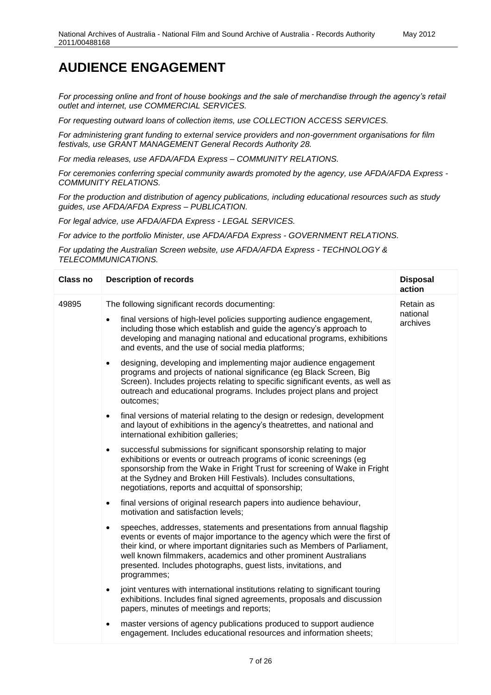*For processing online and front of house bookings and the sale of merchandise through the agency's retail outlet and internet, use COMMERCIAL SERVICES.*

*For requesting outward loans of collection items, use COLLECTION ACCESS SERVICES.*

*For administering grant funding to external service providers and non-government organisations for film festivals, use GRANT MANAGEMENT General Records Authority 28.*

*For media releases, use AFDA/AFDA Express – COMMUNITY RELATIONS.*

*For ceremonies conferring special community awards promoted by the agency, use AFDA/AFDA Express - COMMUNITY RELATIONS.*

*For the production and distribution of agency publications, including educational resources such as study guides, use AFDA/AFDA Express – PUBLICATION.*

*For legal advice, use AFDA/AFDA Express - LEGAL SERVICES.*

*For advice to the portfolio Minister, use AFDA/AFDA Express - GOVERNMENT RELATIONS.*

*For updating the Australian Screen website, use AFDA/AFDA Express - TECHNOLOGY & TELECOMMUNICATIONS.*

| <b>Class no</b> | <b>Description of records</b>                                                                                                                                                                                                                                                                                                                                                                       | <b>Disposal</b><br>action |
|-----------------|-----------------------------------------------------------------------------------------------------------------------------------------------------------------------------------------------------------------------------------------------------------------------------------------------------------------------------------------------------------------------------------------------------|---------------------------|
| 49895           | The following significant records documenting:                                                                                                                                                                                                                                                                                                                                                      | Retain as                 |
|                 | final versions of high-level policies supporting audience engagement,<br>$\bullet$<br>including those which establish and guide the agency's approach to<br>developing and managing national and educational programs, exhibitions<br>and events, and the use of social media platforms;                                                                                                            | national<br>archives      |
|                 | designing, developing and implementing major audience engagement<br>$\bullet$<br>programs and projects of national significance (eg Black Screen, Big<br>Screen). Includes projects relating to specific significant events, as well as<br>outreach and educational programs. Includes project plans and project<br>outcomes;                                                                       |                           |
|                 | final versions of material relating to the design or redesign, development<br>$\bullet$<br>and layout of exhibitions in the agency's theatrettes, and national and<br>international exhibition galleries;                                                                                                                                                                                           |                           |
|                 | successful submissions for significant sponsorship relating to major<br>$\bullet$<br>exhibitions or events or outreach programs of iconic screenings (eg<br>sponsorship from the Wake in Fright Trust for screening of Wake in Fright<br>at the Sydney and Broken Hill Festivals). Includes consultations,<br>negotiations, reports and acquittal of sponsorship;                                   |                           |
|                 | final versions of original research papers into audience behaviour,<br>$\bullet$<br>motivation and satisfaction levels;                                                                                                                                                                                                                                                                             |                           |
|                 | speeches, addresses, statements and presentations from annual flagship<br>$\bullet$<br>events or events of major importance to the agency which were the first of<br>their kind, or where important dignitaries such as Members of Parliament,<br>well known filmmakers, academics and other prominent Australians<br>presented. Includes photographs, guest lists, invitations, and<br>programmes; |                           |
|                 | joint ventures with international institutions relating to significant touring<br>$\bullet$<br>exhibitions. Includes final signed agreements, proposals and discussion<br>papers, minutes of meetings and reports;                                                                                                                                                                                  |                           |
|                 | master versions of agency publications produced to support audience<br>$\bullet$<br>engagement. Includes educational resources and information sheets;                                                                                                                                                                                                                                              |                           |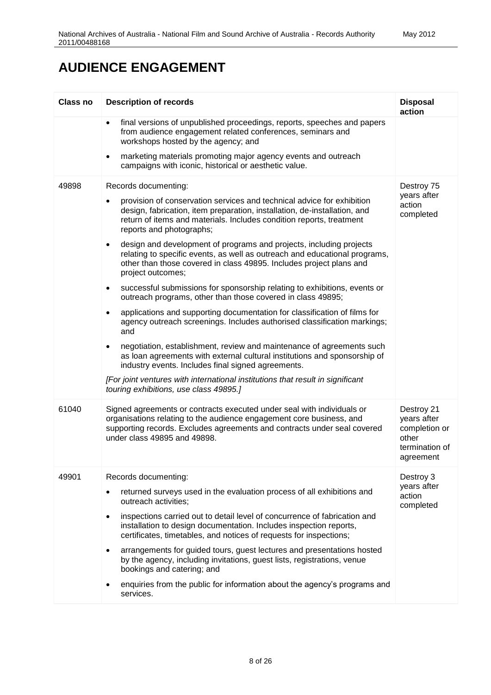| <b>Class no</b> | <b>Description of records</b>                                                                                                                                                                                                                                                                                                                                                                                                                                                                                                                                                                                                                                                                                                                                                                                                                                                                                                                                                                                                                                                                                     | <b>Disposal</b><br>action                                                          |
|-----------------|-------------------------------------------------------------------------------------------------------------------------------------------------------------------------------------------------------------------------------------------------------------------------------------------------------------------------------------------------------------------------------------------------------------------------------------------------------------------------------------------------------------------------------------------------------------------------------------------------------------------------------------------------------------------------------------------------------------------------------------------------------------------------------------------------------------------------------------------------------------------------------------------------------------------------------------------------------------------------------------------------------------------------------------------------------------------------------------------------------------------|------------------------------------------------------------------------------------|
|                 | final versions of unpublished proceedings, reports, speeches and papers<br>$\bullet$<br>from audience engagement related conferences, seminars and<br>workshops hosted by the agency; and                                                                                                                                                                                                                                                                                                                                                                                                                                                                                                                                                                                                                                                                                                                                                                                                                                                                                                                         |                                                                                    |
|                 | marketing materials promoting major agency events and outreach<br>$\bullet$<br>campaigns with iconic, historical or aesthetic value.                                                                                                                                                                                                                                                                                                                                                                                                                                                                                                                                                                                                                                                                                                                                                                                                                                                                                                                                                                              |                                                                                    |
| 49898           | Records documenting:<br>provision of conservation services and technical advice for exhibition<br>٠<br>design, fabrication, item preparation, installation, de-installation, and<br>return of items and materials. Includes condition reports, treatment<br>reports and photographs;<br>design and development of programs and projects, including projects<br>$\bullet$<br>relating to specific events, as well as outreach and educational programs,<br>other than those covered in class 49895. Includes project plans and<br>project outcomes;<br>successful submissions for sponsorship relating to exhibitions, events or<br>$\bullet$<br>outreach programs, other than those covered in class 49895;<br>applications and supporting documentation for classification of films for<br>$\bullet$<br>agency outreach screenings. Includes authorised classification markings;<br>and<br>negotiation, establishment, review and maintenance of agreements such<br>$\bullet$<br>as loan agreements with external cultural institutions and sponsorship of<br>industry events. Includes final signed agreements. | Destroy 75<br>years after<br>action<br>completed                                   |
|                 | [For joint ventures with international institutions that result in significant<br>touring exhibitions, use class 49895.]                                                                                                                                                                                                                                                                                                                                                                                                                                                                                                                                                                                                                                                                                                                                                                                                                                                                                                                                                                                          |                                                                                    |
| 61040           | Signed agreements or contracts executed under seal with individuals or<br>organisations relating to the audience engagement core business, and<br>supporting records. Excludes agreements and contracts under seal covered<br>under class 49895 and 49898.                                                                                                                                                                                                                                                                                                                                                                                                                                                                                                                                                                                                                                                                                                                                                                                                                                                        | Destroy 21<br>years after<br>completion or<br>other<br>termination of<br>agreement |
| 49901           | Records documenting:<br>returned surveys used in the evaluation process of all exhibitions and<br>outreach activities;<br>inspections carried out to detail level of concurrence of fabrication and<br>$\bullet$<br>installation to design documentation. Includes inspection reports,<br>certificates, timetables, and notices of requests for inspections;<br>arrangements for guided tours, guest lectures and presentations hosted<br>٠<br>by the agency, including invitations, guest lists, registrations, venue<br>bookings and catering; and<br>enquiries from the public for information about the agency's programs and<br>services.                                                                                                                                                                                                                                                                                                                                                                                                                                                                    | Destroy 3<br>years after<br>action<br>completed                                    |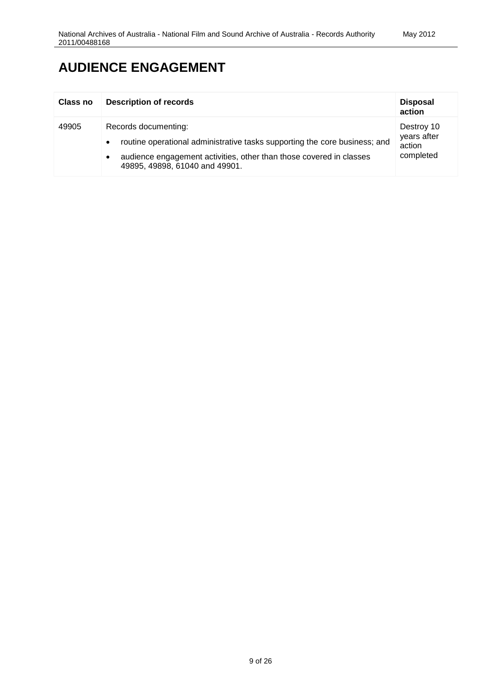| Class no | <b>Description of records</b>                                                                                                                                                                                                         | <b>Disposal</b><br>action                        |
|----------|---------------------------------------------------------------------------------------------------------------------------------------------------------------------------------------------------------------------------------------|--------------------------------------------------|
| 49905    | Records documenting:<br>routine operational administrative tasks supporting the core business; and<br>$\bullet$<br>audience engagement activities, other than those covered in classes<br>$\bullet$<br>49895, 49898, 61040 and 49901. | Destroy 10<br>years after<br>action<br>completed |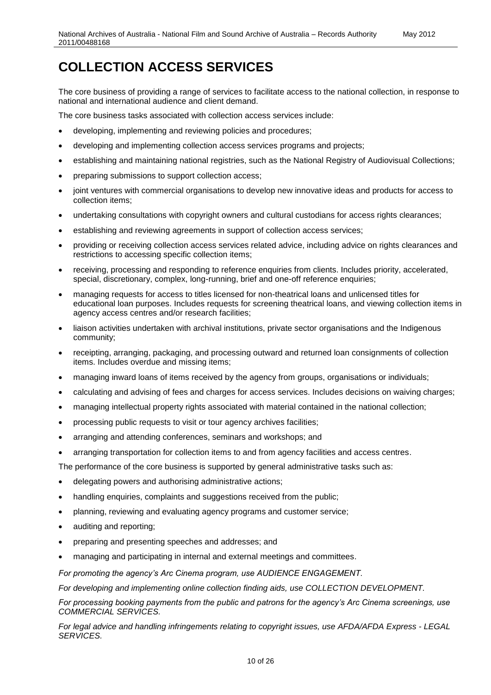The core business of providing a range of services to facilitate access to the national collection, in response to national and international audience and client demand.

The core business tasks associated with collection access services include:

- developing, implementing and reviewing policies and procedures;
- developing and implementing collection access services programs and projects;
- establishing and maintaining national registries, such as the National Registry of Audiovisual Collections;
- preparing submissions to support collection access;
- joint ventures with commercial organisations to develop new innovative ideas and products for access to collection items;
- undertaking consultations with copyright owners and cultural custodians for access rights clearances;
- establishing and reviewing agreements in support of collection access services;
- providing or receiving collection access services related advice, including advice on rights clearances and restrictions to accessing specific collection items;
- receiving, processing and responding to reference enquiries from clients. Includes priority, accelerated, special, discretionary, complex, long-running, brief and one-off reference enquiries;
- managing requests for access to titles licensed for non-theatrical loans and unlicensed titles for educational loan purposes. Includes requests for screening theatrical loans, and viewing collection items in agency access centres and/or research facilities;
- liaison activities undertaken with archival institutions, private sector organisations and the Indigenous community;
- receipting, arranging, packaging, and processing outward and returned loan consignments of collection items. Includes overdue and missing items;
- managing inward loans of items received by the agency from groups, organisations or individuals;
- calculating and advising of fees and charges for access services. Includes decisions on waiving charges;
- managing intellectual property rights associated with material contained in the national collection;
- processing public requests to visit or tour agency archives facilities;
- arranging and attending conferences, seminars and workshops; and
- arranging transportation for collection items to and from agency facilities and access centres.

The performance of the core business is supported by general administrative tasks such as:

- delegating powers and authorising administrative actions;
- handling enquiries, complaints and suggestions received from the public;
- planning, reviewing and evaluating agency programs and customer service;
- auditing and reporting;
- preparing and presenting speeches and addresses; and
- managing and participating in internal and external meetings and committees.

*For promoting the agency's Arc Cinema program, use AUDIENCE ENGAGEMENT.*

*For developing and implementing online collection finding aids, use COLLECTION DEVELOPMENT.*

*For processing booking payments from the public and patrons for the agency's Arc Cinema screenings, use COMMERCIAL SERVICES.*

*For legal advice and handling infringements relating to copyright issues, use AFDA/AFDA Express - LEGAL SERVICES.*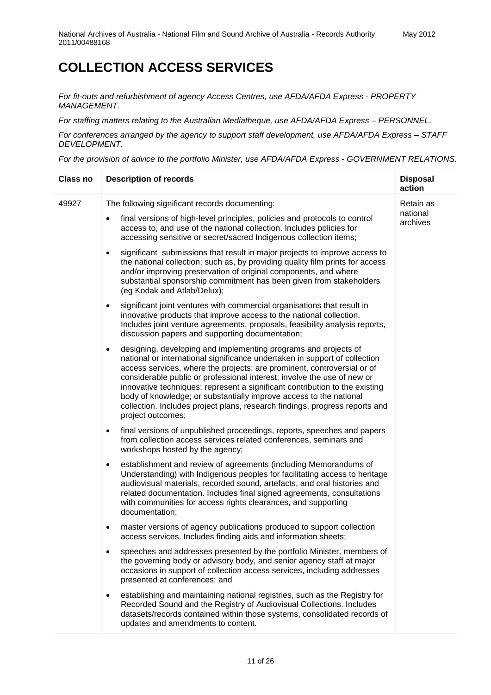*For fit-outs and refurbishment of agency Access Centres, use AFDA/AFDA Express - PROPERTY MANAGEMENT.*

*For staffing matters relating to the Australian Mediatheque, use AFDA/AFDA Express – PERSONNEL.*

*For conferences arranged by the agency to support staff development, use AFDA/AFDA Express – STAFF DEVELOPMENT.*

*For the provision of advice to the portfolio Minister, use AFDA/AFDA Express - GOVERNMENT RELATIONS.*

| <b>Class no</b> | <b>Description of records</b>                                                                                                                                                                                                                                                                                                                                                                                                                                                                                                                                                                                                               | <b>Disposal</b><br>action         |
|-----------------|---------------------------------------------------------------------------------------------------------------------------------------------------------------------------------------------------------------------------------------------------------------------------------------------------------------------------------------------------------------------------------------------------------------------------------------------------------------------------------------------------------------------------------------------------------------------------------------------------------------------------------------------|-----------------------------------|
| 49927           | The following significant records documenting:<br>final versions of high-level principles, policies and protocols to control<br>$\bullet$<br>access to, and use of the national collection. Includes policies for<br>accessing sensitive or secret/sacred Indigenous collection items;<br>significant submissions that result in major projects to improve access to<br>$\bullet$<br>the national collection; such as, by providing quality film prints for access<br>and/or improving preservation of original components, and where<br>substantial sponsorship commitment has been given from stakeholders<br>(eg Kodak and Atlab/Delux); | Retain as<br>national<br>archives |
|                 | significant joint ventures with commercial organisations that result in<br>$\bullet$<br>innovative products that improve access to the national collection.<br>Includes joint venture agreements, proposals, feasibility analysis reports,<br>discussion papers and supporting documentation;                                                                                                                                                                                                                                                                                                                                               |                                   |
|                 | designing, developing and implementing programs and projects of<br>$\bullet$<br>national or international significance undertaken in support of collection<br>access services, where the projects: are prominent, controversial or of<br>considerable public or professional interest; involve the use of new or<br>innovative techniques; represent a significant contribution to the existing<br>body of knowledge; or substantially improve access to the national<br>collection. Includes project plans, research findings, progress reports and<br>project outcomes;                                                                   |                                   |
|                 | final versions of unpublished proceedings, reports, speeches and papers<br>$\bullet$<br>from collection access services related conferences, seminars and<br>workshops hosted by the agency;                                                                                                                                                                                                                                                                                                                                                                                                                                                |                                   |
|                 | establishment and review of agreements (including Memorandums of<br>$\bullet$<br>Understanding) with Indigenous peoples for facilitating access to heritage<br>audiovisual materials, recorded sound, artefacts, and oral histories and<br>related documentation. Includes final signed agreements, consultations<br>with communities for access rights clearances, and supporting<br>documentation;                                                                                                                                                                                                                                        |                                   |
|                 | master versions of agency publications produced to support collection<br>$\bullet$<br>access services. Includes finding aids and information sheets;                                                                                                                                                                                                                                                                                                                                                                                                                                                                                        |                                   |
|                 | speeches and addresses presented by the portfolio Minister, members of<br>the governing body or advisory body, and senior agency staff at major<br>occasions in support of collection access services, including addresses<br>presented at conferences; and                                                                                                                                                                                                                                                                                                                                                                                 |                                   |
|                 | establishing and maintaining national registries, such as the Registry for<br>Recorded Sound and the Registry of Audiovisual Collections. Includes<br>datasets/records contained within those systems, consolidated records of<br>updates and amendments to content.                                                                                                                                                                                                                                                                                                                                                                        |                                   |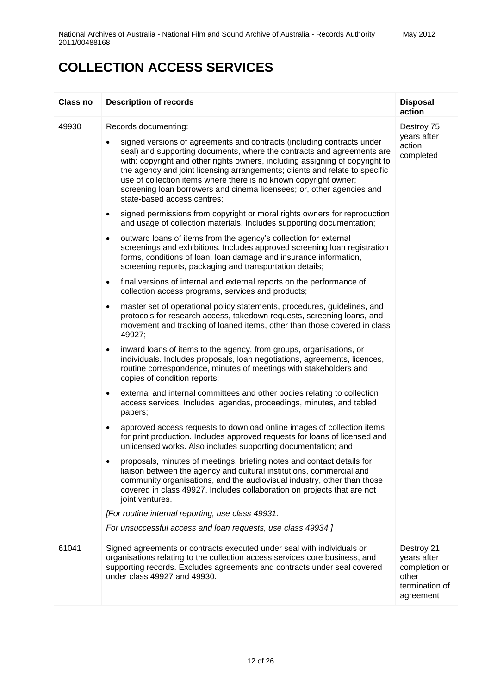| Class no | <b>Description of records</b>                                                                                                                                                                                                                                                                                                                                                                                                                                                                                                                                                                                                                                                                                                                                                                                                                                                                                                                                                                                                                                                                                                                                                                                                                                                                                                                                                                                                                                                                                                                                                                                                                                                                                                                                                                                                                                                                                                                                                                                                                                                                                                                                                                                                                                                                                                                                                        | <b>Disposal</b><br>action                                                          |
|----------|--------------------------------------------------------------------------------------------------------------------------------------------------------------------------------------------------------------------------------------------------------------------------------------------------------------------------------------------------------------------------------------------------------------------------------------------------------------------------------------------------------------------------------------------------------------------------------------------------------------------------------------------------------------------------------------------------------------------------------------------------------------------------------------------------------------------------------------------------------------------------------------------------------------------------------------------------------------------------------------------------------------------------------------------------------------------------------------------------------------------------------------------------------------------------------------------------------------------------------------------------------------------------------------------------------------------------------------------------------------------------------------------------------------------------------------------------------------------------------------------------------------------------------------------------------------------------------------------------------------------------------------------------------------------------------------------------------------------------------------------------------------------------------------------------------------------------------------------------------------------------------------------------------------------------------------------------------------------------------------------------------------------------------------------------------------------------------------------------------------------------------------------------------------------------------------------------------------------------------------------------------------------------------------------------------------------------------------------------------------------------------------|------------------------------------------------------------------------------------|
| 49930    | Records documenting:<br>signed versions of agreements and contracts (including contracts under<br>seal) and supporting documents, where the contracts and agreements are<br>with: copyright and other rights owners, including assigning of copyright to<br>the agency and joint licensing arrangements; clients and relate to specific<br>use of collection items where there is no known copyright owner;<br>screening loan borrowers and cinema licensees; or, other agencies and<br>state-based access centres;<br>signed permissions from copyright or moral rights owners for reproduction<br>$\bullet$<br>and usage of collection materials. Includes supporting documentation;<br>outward loans of items from the agency's collection for external<br>$\bullet$<br>screenings and exhibitions. Includes approved screening loan registration<br>forms, conditions of loan, loan damage and insurance information,<br>screening reports, packaging and transportation details;<br>final versions of internal and external reports on the performance of<br>$\bullet$<br>collection access programs, services and products;<br>master set of operational policy statements, procedures, guidelines, and<br>$\bullet$<br>protocols for research access, takedown requests, screening loans, and<br>movement and tracking of loaned items, other than those covered in class<br>49927;<br>inward loans of items to the agency, from groups, organisations, or<br>٠<br>individuals. Includes proposals, loan negotiations, agreements, licences,<br>routine correspondence, minutes of meetings with stakeholders and<br>copies of condition reports;<br>external and internal committees and other bodies relating to collection<br>٠<br>access services. Includes agendas, proceedings, minutes, and tabled<br>papers;<br>approved access requests to download online images of collection items<br>٠<br>for print production. Includes approved requests for loans of licensed and<br>unlicensed works. Also includes supporting documentation; and<br>proposals, minutes of meetings, briefing notes and contact details for<br>liaison between the agency and cultural institutions, commercial and<br>community organisations, and the audiovisual industry, other than those<br>covered in class 49927. Includes collaboration on projects that are not<br>joint ventures. | Destroy 75<br>years after<br>action<br>completed                                   |
|          | [For routine internal reporting, use class 49931.<br>For unsuccessful access and loan requests, use class 49934.]                                                                                                                                                                                                                                                                                                                                                                                                                                                                                                                                                                                                                                                                                                                                                                                                                                                                                                                                                                                                                                                                                                                                                                                                                                                                                                                                                                                                                                                                                                                                                                                                                                                                                                                                                                                                                                                                                                                                                                                                                                                                                                                                                                                                                                                                    |                                                                                    |
| 61041    | Signed agreements or contracts executed under seal with individuals or<br>organisations relating to the collection access services core business, and<br>supporting records. Excludes agreements and contracts under seal covered<br>under class 49927 and 49930.                                                                                                                                                                                                                                                                                                                                                                                                                                                                                                                                                                                                                                                                                                                                                                                                                                                                                                                                                                                                                                                                                                                                                                                                                                                                                                                                                                                                                                                                                                                                                                                                                                                                                                                                                                                                                                                                                                                                                                                                                                                                                                                    | Destroy 21<br>years after<br>completion or<br>other<br>termination of<br>agreement |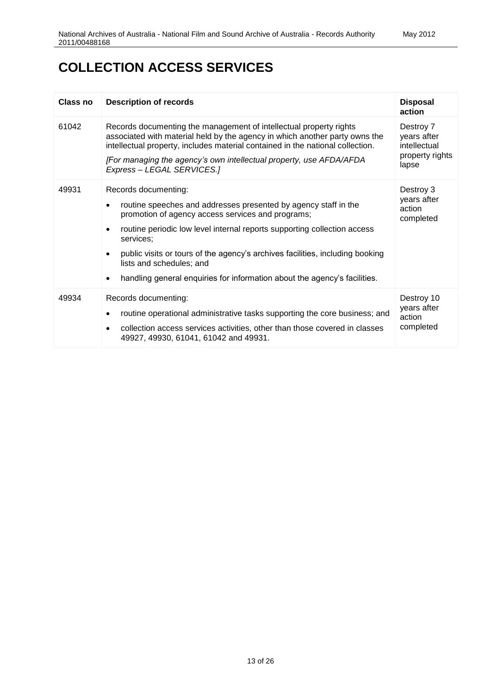| Class no | <b>Description of records</b>                                                                                                                                                                                                                                                                                                                                                                                                                             | <b>Disposal</b><br>action                                            |
|----------|-----------------------------------------------------------------------------------------------------------------------------------------------------------------------------------------------------------------------------------------------------------------------------------------------------------------------------------------------------------------------------------------------------------------------------------------------------------|----------------------------------------------------------------------|
| 61042    | Records documenting the management of intellectual property rights<br>associated with material held by the agency in which another party owns the<br>intellectual property, includes material contained in the national collection.<br>[For managing the agency's own intellectual property, use AFDA/AFDA<br>Express - LEGAL SERVICES.]                                                                                                                  | Destroy 7<br>years after<br>intellectual<br>property rights<br>lapse |
| 49931    | Records documenting:<br>routine speeches and addresses presented by agency staff in the<br>$\bullet$<br>promotion of agency access services and programs;<br>routine periodic low level internal reports supporting collection access<br>$\bullet$<br>services:<br>public visits or tours of the agency's archives facilities, including booking<br>lists and schedules; and<br>handling general enquiries for information about the agency's facilities. | Destroy 3<br>years after<br>action<br>completed                      |
| 49934    | Records documenting:<br>routine operational administrative tasks supporting the core business; and<br>٠<br>collection access services activities, other than those covered in classes<br>$\bullet$<br>49927, 49930, 61041, 61042 and 49931.                                                                                                                                                                                                               | Destroy 10<br>years after<br>action<br>completed                     |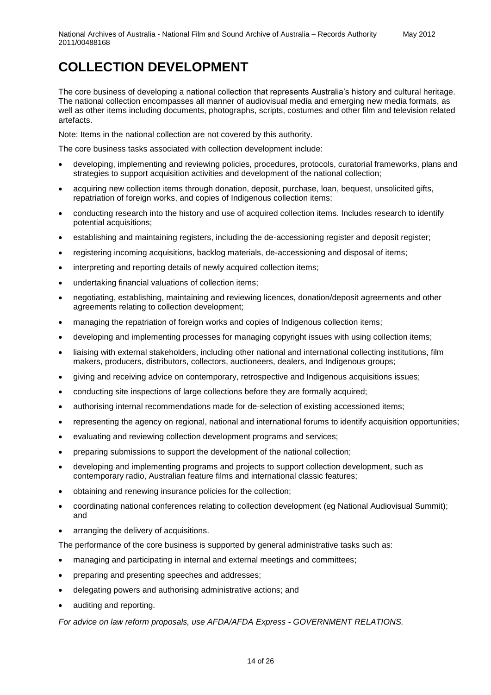The core business of developing a national collection that represents Australia's history and cultural heritage. The national collection encompasses all manner of audiovisual media and emerging new media formats, as well as other items including documents, photographs, scripts, costumes and other film and television related artefacts.

Note: Items in the national collection are not covered by this authority.

The core business tasks associated with collection development include:

- developing, implementing and reviewing policies, procedures, protocols, curatorial frameworks, plans and strategies to support acquisition activities and development of the national collection;
- acquiring new collection items through donation, deposit, purchase, loan, bequest, unsolicited gifts, repatriation of foreign works, and copies of Indigenous collection items;
- conducting research into the history and use of acquired collection items. Includes research to identify potential acquisitions;
- establishing and maintaining registers, including the de-accessioning register and deposit register;
- registering incoming acquisitions, backlog materials, de-accessioning and disposal of items;
- interpreting and reporting details of newly acquired collection items;
- undertaking financial valuations of collection items;
- negotiating, establishing, maintaining and reviewing licences, donation/deposit agreements and other agreements relating to collection development;
- managing the repatriation of foreign works and copies of Indigenous collection items;
- developing and implementing processes for managing copyright issues with using collection items;
- liaising with external stakeholders, including other national and international collecting institutions, film makers, producers, distributors, collectors, auctioneers, dealers, and Indigenous groups;
- giving and receiving advice on contemporary, retrospective and Indigenous acquisitions issues;
- conducting site inspections of large collections before they are formally acquired;
- authorising internal recommendations made for de-selection of existing accessioned items;
- representing the agency on regional, national and international forums to identify acquisition opportunities;
- evaluating and reviewing collection development programs and services;
- preparing submissions to support the development of the national collection;
- developing and implementing programs and projects to support collection development, such as contemporary radio, Australian feature films and international classic features;
- obtaining and renewing insurance policies for the collection;
- coordinating national conferences relating to collection development (eg National Audiovisual Summit); and
- arranging the delivery of acquisitions.

The performance of the core business is supported by general administrative tasks such as:

- managing and participating in internal and external meetings and committees;
- preparing and presenting speeches and addresses;
- delegating powers and authorising administrative actions; and
- auditing and reporting.

*For advice on law reform proposals, use AFDA/AFDA Express - GOVERNMENT RELATIONS.*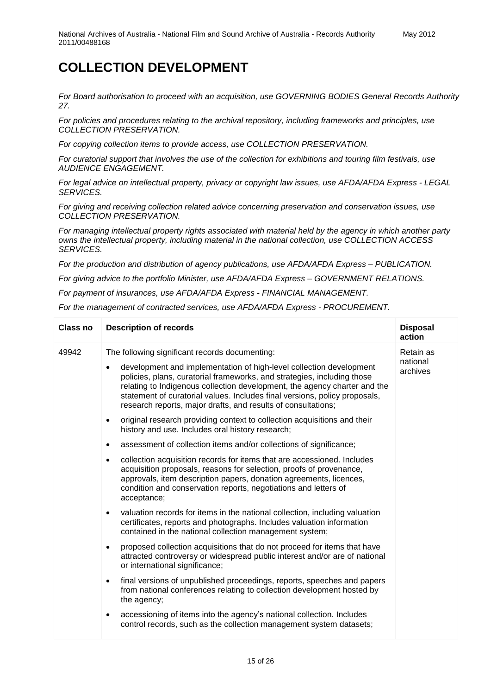*For Board authorisation to proceed with an acquisition, use GOVERNING BODIES General Records Authority 27.* 

*For policies and procedures relating to the archival repository, including frameworks and principles, use COLLECTION PRESERVATION.*

*For copying collection items to provide access, use COLLECTION PRESERVATION.*

*For curatorial support that involves the use of the collection for exhibitions and touring film festivals, use AUDIENCE ENGAGEMENT.*

*For legal advice on intellectual property, privacy or copyright law issues, use AFDA/AFDA Express - LEGAL SERVICES.*

*For giving and receiving collection related advice concerning preservation and conservation issues, use COLLECTION PRESERVATION.*

*For managing intellectual property rights associated with material held by the agency in which another party owns the intellectual property, including material in the national collection, use COLLECTION ACCESS SERVICES.* 

*For the production and distribution of agency publications, use AFDA/AFDA Express – PUBLICATION.* 

*For giving advice to the portfolio Minister, use AFDA/AFDA Express – GOVERNMENT RELATIONS.* 

*For payment of insurances, use AFDA/AFDA Express - FINANCIAL MANAGEMENT.*

*For the management of contracted services, use AFDA/AFDA Express - PROCUREMENT.*

| <b>Class no</b> | <b>Description of records</b>                                                                                                                                                                                                                                                                                                                                                                                                             | <b>Disposal</b><br>action         |
|-----------------|-------------------------------------------------------------------------------------------------------------------------------------------------------------------------------------------------------------------------------------------------------------------------------------------------------------------------------------------------------------------------------------------------------------------------------------------|-----------------------------------|
| 49942           | The following significant records documenting:<br>development and implementation of high-level collection development<br>$\bullet$<br>policies, plans, curatorial frameworks, and strategies, including those<br>relating to Indigenous collection development, the agency charter and the<br>statement of curatorial values. Includes final versions, policy proposals,<br>research reports, major drafts, and results of consultations; | Retain as<br>national<br>archives |
|                 | original research providing context to collection acquisitions and their<br>$\bullet$<br>history and use. Includes oral history research;                                                                                                                                                                                                                                                                                                 |                                   |
|                 | assessment of collection items and/or collections of significance;                                                                                                                                                                                                                                                                                                                                                                        |                                   |
|                 | collection acquisition records for items that are accessioned. Includes<br>$\bullet$<br>acquisition proposals, reasons for selection, proofs of provenance,<br>approvals, item description papers, donation agreements, licences,<br>condition and conservation reports, negotiations and letters of<br>acceptance;                                                                                                                       |                                   |
|                 | valuation records for items in the national collection, including valuation<br>$\bullet$<br>certificates, reports and photographs. Includes valuation information<br>contained in the national collection management system;                                                                                                                                                                                                              |                                   |
|                 | proposed collection acquisitions that do not proceed for items that have<br>$\bullet$<br>attracted controversy or widespread public interest and/or are of national<br>or international significance;                                                                                                                                                                                                                                     |                                   |
|                 | final versions of unpublished proceedings, reports, speeches and papers<br>$\bullet$<br>from national conferences relating to collection development hosted by<br>the agency;                                                                                                                                                                                                                                                             |                                   |
|                 | accessioning of items into the agency's national collection. Includes<br>control records, such as the collection management system datasets;                                                                                                                                                                                                                                                                                              |                                   |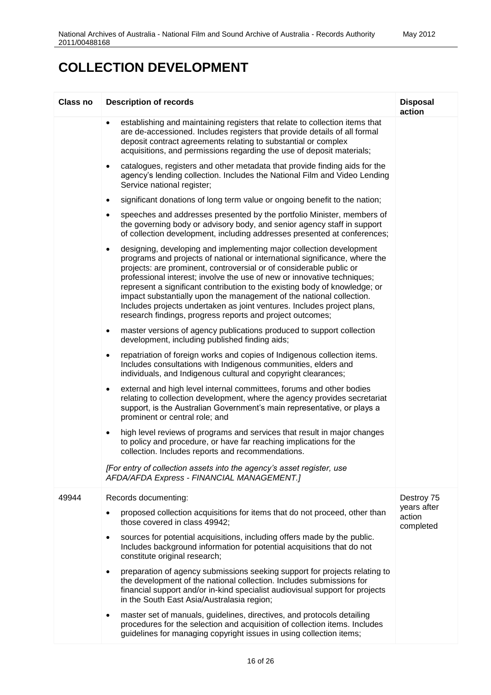| <b>Class no</b> | <b>Description of records</b>                                                                                                                                                                                                                                                                                                                                                                                                                                                                                                                                                                                  | <b>Disposal</b><br>action          |
|-----------------|----------------------------------------------------------------------------------------------------------------------------------------------------------------------------------------------------------------------------------------------------------------------------------------------------------------------------------------------------------------------------------------------------------------------------------------------------------------------------------------------------------------------------------------------------------------------------------------------------------------|------------------------------------|
|                 | establishing and maintaining registers that relate to collection items that<br>$\bullet$<br>are de-accessioned. Includes registers that provide details of all formal<br>deposit contract agreements relating to substantial or complex<br>acquisitions, and permissions regarding the use of deposit materials;                                                                                                                                                                                                                                                                                               |                                    |
|                 | catalogues, registers and other metadata that provide finding aids for the<br>$\bullet$<br>agency's lending collection. Includes the National Film and Video Lending<br>Service national register;                                                                                                                                                                                                                                                                                                                                                                                                             |                                    |
|                 | significant donations of long term value or ongoing benefit to the nation;<br>$\bullet$                                                                                                                                                                                                                                                                                                                                                                                                                                                                                                                        |                                    |
|                 | speeches and addresses presented by the portfolio Minister, members of<br>$\bullet$<br>the governing body or advisory body, and senior agency staff in support<br>of collection development, including addresses presented at conferences;                                                                                                                                                                                                                                                                                                                                                                     |                                    |
|                 | designing, developing and implementing major collection development<br>$\bullet$<br>programs and projects of national or international significance, where the<br>projects: are prominent, controversial or of considerable public or<br>professional interest; involve the use of new or innovative techniques;<br>represent a significant contribution to the existing body of knowledge; or<br>impact substantially upon the management of the national collection.<br>Includes projects undertaken as joint ventures. Includes project plans,<br>research findings, progress reports and project outcomes; |                                    |
|                 | master versions of agency publications produced to support collection<br>٠<br>development, including published finding aids;                                                                                                                                                                                                                                                                                                                                                                                                                                                                                   |                                    |
|                 | repatriation of foreign works and copies of Indigenous collection items.<br>$\bullet$<br>Includes consultations with Indigenous communities, elders and<br>individuals, and Indigenous cultural and copyright clearances;                                                                                                                                                                                                                                                                                                                                                                                      |                                    |
|                 | external and high level internal committees, forums and other bodies<br>٠<br>relating to collection development, where the agency provides secretariat<br>support, is the Australian Government's main representative, or plays a<br>prominent or central role; and                                                                                                                                                                                                                                                                                                                                            |                                    |
|                 | high level reviews of programs and services that result in major changes<br>$\bullet$<br>to policy and procedure, or have far reaching implications for the<br>collection. Includes reports and recommendations.                                                                                                                                                                                                                                                                                                                                                                                               |                                    |
|                 | [For entry of collection assets into the agency's asset register, use<br>AFDA/AFDA Express - FINANCIAL MANAGEMENT.]                                                                                                                                                                                                                                                                                                                                                                                                                                                                                            |                                    |
| 49944           | Records documenting:                                                                                                                                                                                                                                                                                                                                                                                                                                                                                                                                                                                           | Destroy 75                         |
|                 | proposed collection acquisitions for items that do not proceed, other than<br>those covered in class 49942;                                                                                                                                                                                                                                                                                                                                                                                                                                                                                                    | years after<br>action<br>completed |
|                 | sources for potential acquisitions, including offers made by the public.<br>٠<br>Includes background information for potential acquisitions that do not<br>constitute original research;                                                                                                                                                                                                                                                                                                                                                                                                                       |                                    |
|                 | preparation of agency submissions seeking support for projects relating to<br>$\bullet$<br>the development of the national collection. Includes submissions for<br>financial support and/or in-kind specialist audiovisual support for projects<br>in the South East Asia/Australasia region;                                                                                                                                                                                                                                                                                                                  |                                    |
|                 | master set of manuals, guidelines, directives, and protocols detailing<br>$\bullet$<br>procedures for the selection and acquisition of collection items. Includes<br>guidelines for managing copyright issues in using collection items;                                                                                                                                                                                                                                                                                                                                                                       |                                    |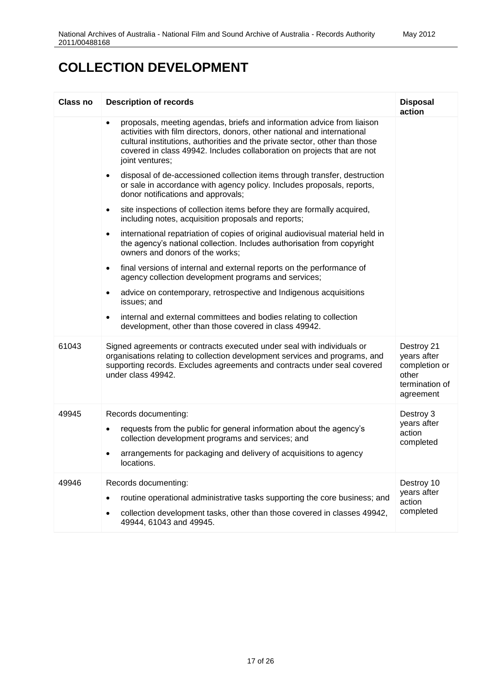| <b>Class no</b> | <b>Description of records</b>                                                                                                                                                                                                                                                                                                                | <b>Disposal</b><br>action                                                          |
|-----------------|----------------------------------------------------------------------------------------------------------------------------------------------------------------------------------------------------------------------------------------------------------------------------------------------------------------------------------------------|------------------------------------------------------------------------------------|
|                 | proposals, meeting agendas, briefs and information advice from liaison<br>$\bullet$<br>activities with film directors, donors, other national and international<br>cultural institutions, authorities and the private sector, other than those<br>covered in class 49942. Includes collaboration on projects that are not<br>joint ventures; |                                                                                    |
|                 | disposal of de-accessioned collection items through transfer, destruction<br>$\bullet$<br>or sale in accordance with agency policy. Includes proposals, reports,<br>donor notifications and approvals;                                                                                                                                       |                                                                                    |
|                 | site inspections of collection items before they are formally acquired,<br>$\bullet$<br>including notes, acquisition proposals and reports;                                                                                                                                                                                                  |                                                                                    |
|                 | international repatriation of copies of original audiovisual material held in<br>$\bullet$<br>the agency's national collection. Includes authorisation from copyright<br>owners and donors of the works;                                                                                                                                     |                                                                                    |
|                 | final versions of internal and external reports on the performance of<br>$\bullet$<br>agency collection development programs and services;                                                                                                                                                                                                   |                                                                                    |
|                 | advice on contemporary, retrospective and Indigenous acquisitions<br>$\bullet$<br>issues; and                                                                                                                                                                                                                                                |                                                                                    |
|                 | internal and external committees and bodies relating to collection<br>$\bullet$<br>development, other than those covered in class 49942.                                                                                                                                                                                                     |                                                                                    |
| 61043           | Signed agreements or contracts executed under seal with individuals or<br>organisations relating to collection development services and programs, and<br>supporting records. Excludes agreements and contracts under seal covered<br>under class 49942.                                                                                      | Destroy 21<br>years after<br>completion or<br>other<br>termination of<br>agreement |
| 49945           | Records documenting:<br>requests from the public for general information about the agency's<br>٠<br>collection development programs and services; and<br>arrangements for packaging and delivery of acquisitions to agency<br>locations.                                                                                                     | Destroy 3<br>years after<br>action<br>completed                                    |
| 49946           | Records documenting:<br>routine operational administrative tasks supporting the core business; and<br>$\bullet$<br>collection development tasks, other than those covered in classes 49942,<br>49944, 61043 and 49945.                                                                                                                       | Destroy 10<br>years after<br>action<br>completed                                   |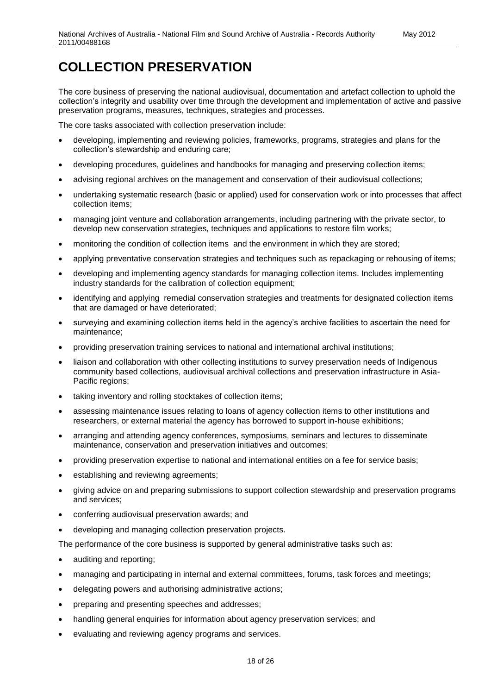The core business of preserving the national audiovisual, documentation and artefact collection to uphold the collection's integrity and usability over time through the development and implementation of active and passive preservation programs, measures, techniques, strategies and processes.

The core tasks associated with collection preservation include:

- developing, implementing and reviewing policies, frameworks, programs, strategies and plans for the collection's stewardship and enduring care;
- developing procedures, guidelines and handbooks for managing and preserving collection items;
- advising regional archives on the management and conservation of their audiovisual collections;
- undertaking systematic research (basic or applied) used for conservation work or into processes that affect collection items;
- managing joint venture and collaboration arrangements, including partnering with the private sector, to develop new conservation strategies, techniques and applications to restore film works;
- monitoring the condition of collection items and the environment in which they are stored;
- applying preventative conservation strategies and techniques such as repackaging or rehousing of items;
- developing and implementing agency standards for managing collection items. Includes implementing industry standards for the calibration of collection equipment;
- identifying and applying remedial conservation strategies and treatments for designated collection items that are damaged or have deteriorated;
- surveying and examining collection items held in the agency's archive facilities to ascertain the need for maintenance;
- providing preservation training services to national and international archival institutions;
- liaison and collaboration with other collecting institutions to survey preservation needs of Indigenous community based collections, audiovisual archival collections and preservation infrastructure in Asia-Pacific regions;
- taking inventory and rolling stocktakes of collection items;
- assessing maintenance issues relating to loans of agency collection items to other institutions and researchers, or external material the agency has borrowed to support in-house exhibitions;
- arranging and attending agency conferences, symposiums, seminars and lectures to disseminate maintenance, conservation and preservation initiatives and outcomes;
- providing preservation expertise to national and international entities on a fee for service basis;
- establishing and reviewing agreements;
- giving advice on and preparing submissions to support collection stewardship and preservation programs and services;
- conferring audiovisual preservation awards; and
- developing and managing collection preservation projects.

The performance of the core business is supported by general administrative tasks such as:

- auditing and reporting;
- managing and participating in internal and external committees, forums, task forces and meetings;
- delegating powers and authorising administrative actions;
- preparing and presenting speeches and addresses;
- handling general enquiries for information about agency preservation services; and
- evaluating and reviewing agency programs and services.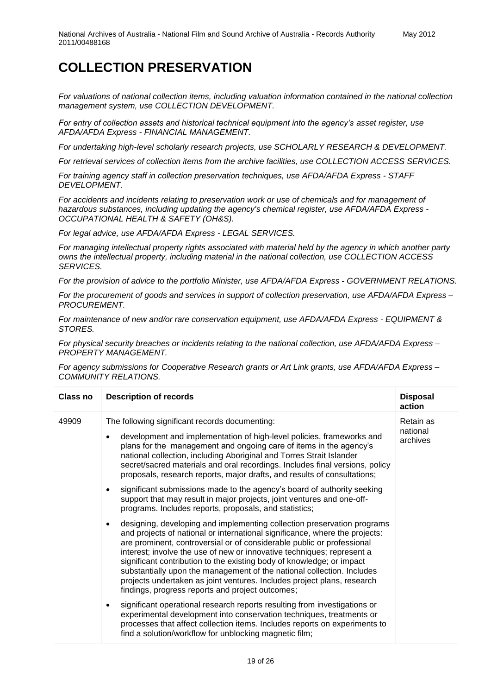*For valuations of national collection items, including valuation information contained in the national collection management system, use COLLECTION DEVELOPMENT.*

*For entry of collection assets and historical technical equipment into the agency's asset register, use AFDA/AFDA Express - FINANCIAL MANAGEMENT.*

*For undertaking high-level scholarly research projects, use SCHOLARLY RESEARCH & DEVELOPMENT.*

*For retrieval services of collection items from the archive facilities, use COLLECTION ACCESS SERVICES.*

*For training agency staff in collection preservation techniques, use AFDA/AFDA Express - STAFF DEVELOPMENT.*

*For accidents and incidents relating to preservation work or use of chemicals and for management of hazardous substances, including updating the agency's chemical register, use AFDA/AFDA Express - OCCUPATIONAL HEALTH & SAFETY (OH&S).*

*For legal advice, use AFDA/AFDA Express - LEGAL SERVICES.*

*For managing intellectual property rights associated with material held by the agency in which another party owns the intellectual property, including material in the national collection, use COLLECTION ACCESS SERVICES.*

*For the provision of advice to the portfolio Minister, use AFDA/AFDA Express - GOVERNMENT RELATIONS.*

*For the procurement of goods and services in support of collection preservation, use AFDA/AFDA Express – PROCUREMENT.* 

*For maintenance of new and/or rare conservation equipment, use AFDA/AFDA Express - EQUIPMENT & STORES.*

*For physical security breaches or incidents relating to the national collection, use AFDA/AFDA Express – PROPERTY MANAGEMENT.*

*For agency submissions for Cooperative Research grants or Art Link grants, use AFDA/AFDA Express – COMMUNITY RELATIONS.*

| Class no | <b>Description of records</b>                                                                                                                                                                                                                                                                                                                                                                                                                                                                                                                                                                             | <b>Disposal</b><br>action         |
|----------|-----------------------------------------------------------------------------------------------------------------------------------------------------------------------------------------------------------------------------------------------------------------------------------------------------------------------------------------------------------------------------------------------------------------------------------------------------------------------------------------------------------------------------------------------------------------------------------------------------------|-----------------------------------|
| 49909    | The following significant records documenting:<br>development and implementation of high-level policies, frameworks and<br>plans for the management and ongoing care of items in the agency's<br>national collection, including Aboriginal and Torres Strait Islander<br>secret/sacred materials and oral recordings. Includes final versions, policy<br>proposals, research reports, major drafts, and results of consultations;                                                                                                                                                                         | Retain as<br>national<br>archives |
|          | significant submissions made to the agency's board of authority seeking<br>$\bullet$<br>support that may result in major projects, joint ventures and one-off-<br>programs. Includes reports, proposals, and statistics;                                                                                                                                                                                                                                                                                                                                                                                  |                                   |
|          | designing, developing and implementing collection preservation programs<br>$\bullet$<br>and projects of national or international significance, where the projects:<br>are prominent, controversial or of considerable public or professional<br>interest; involve the use of new or innovative techniques; represent a<br>significant contribution to the existing body of knowledge; or impact<br>substantially upon the management of the national collection. Includes<br>projects undertaken as joint ventures. Includes project plans, research<br>findings, progress reports and project outcomes; |                                   |
|          | significant operational research reports resulting from investigations or<br>$\bullet$<br>experimental development into conservation techniques, treatments or<br>processes that affect collection items. Includes reports on experiments to<br>find a solution/workflow for unblocking magnetic film;                                                                                                                                                                                                                                                                                                    |                                   |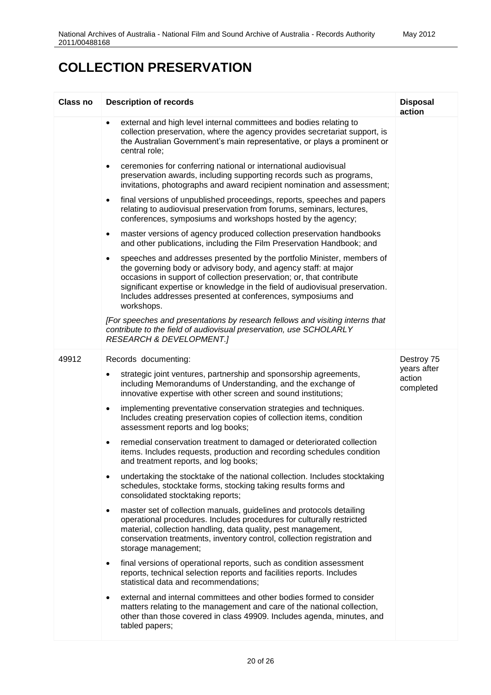| Class no | <b>Description of records</b>                                                                                                                                                                                                                                                                                                                                                               | <b>Disposal</b><br>action |
|----------|---------------------------------------------------------------------------------------------------------------------------------------------------------------------------------------------------------------------------------------------------------------------------------------------------------------------------------------------------------------------------------------------|---------------------------|
|          | external and high level internal committees and bodies relating to<br>٠<br>collection preservation, where the agency provides secretariat support, is<br>the Australian Government's main representative, or plays a prominent or<br>central role;                                                                                                                                          |                           |
|          | ceremonies for conferring national or international audiovisual<br>$\bullet$<br>preservation awards, including supporting records such as programs,<br>invitations, photographs and award recipient nomination and assessment;                                                                                                                                                              |                           |
|          | final versions of unpublished proceedings, reports, speeches and papers<br>$\bullet$<br>relating to audiovisual preservation from forums, seminars, lectures,<br>conferences, symposiums and workshops hosted by the agency;                                                                                                                                                                |                           |
|          | master versions of agency produced collection preservation handbooks<br>$\bullet$<br>and other publications, including the Film Preservation Handbook; and                                                                                                                                                                                                                                  |                           |
|          | speeches and addresses presented by the portfolio Minister, members of<br>$\bullet$<br>the governing body or advisory body, and agency staff: at major<br>occasions in support of collection preservation; or, that contribute<br>significant expertise or knowledge in the field of audiovisual preservation.<br>Includes addresses presented at conferences, symposiums and<br>workshops. |                           |
|          | [For speeches and presentations by research fellows and visiting interns that<br>contribute to the field of audiovisual preservation, use SCHOLARLY<br><b>RESEARCH &amp; DEVELOPMENT.]</b>                                                                                                                                                                                                  |                           |
| 49912    | Records documenting:                                                                                                                                                                                                                                                                                                                                                                        | Destroy 75<br>years after |
|          | strategic joint ventures, partnership and sponsorship agreements,<br>including Memorandums of Understanding, and the exchange of<br>innovative expertise with other screen and sound institutions;                                                                                                                                                                                          | action<br>completed       |
|          | implementing preventative conservation strategies and techniques.<br>$\bullet$<br>Includes creating preservation copies of collection items, condition<br>assessment reports and log books;                                                                                                                                                                                                 |                           |
|          | remedial conservation treatment to damaged or deteriorated collection<br>$\bullet$<br>items. Includes requests, production and recording schedules condition<br>and treatment reports, and log books;                                                                                                                                                                                       |                           |
|          | undertaking the stocktake of the national collection. Includes stocktaking<br>$\bullet$<br>schedules, stocktake forms, stocking taking results forms and<br>consolidated stocktaking reports;                                                                                                                                                                                               |                           |
|          | master set of collection manuals, guidelines and protocols detailing<br>$\bullet$<br>operational procedures. Includes procedures for culturally restricted<br>material, collection handling, data quality, pest management,<br>conservation treatments, inventory control, collection registration and<br>storage management;                                                               |                           |
|          | final versions of operational reports, such as condition assessment<br>$\bullet$<br>reports, technical selection reports and facilities reports. Includes<br>statistical data and recommendations;                                                                                                                                                                                          |                           |
|          | external and internal committees and other bodies formed to consider<br>٠<br>matters relating to the management and care of the national collection,<br>other than those covered in class 49909. Includes agenda, minutes, and<br>tabled papers;                                                                                                                                            |                           |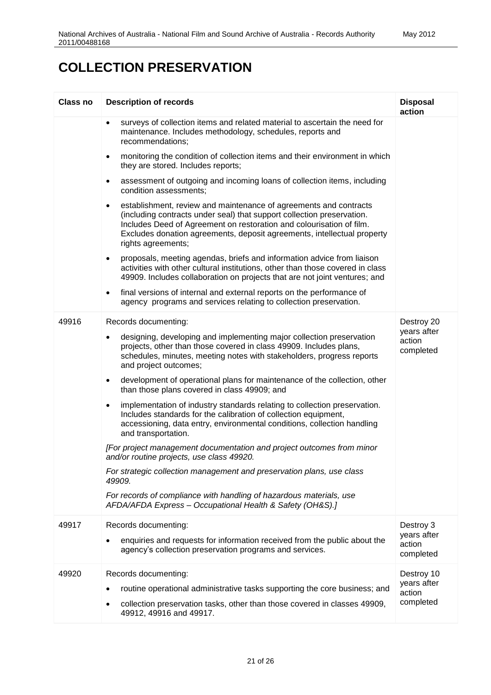| Class no | <b>Description of records</b>                                                                                                                                                                                                                                                                                                     | <b>Disposal</b><br>action                        |
|----------|-----------------------------------------------------------------------------------------------------------------------------------------------------------------------------------------------------------------------------------------------------------------------------------------------------------------------------------|--------------------------------------------------|
|          | surveys of collection items and related material to ascertain the need for<br>$\bullet$<br>maintenance. Includes methodology, schedules, reports and<br>recommendations;                                                                                                                                                          |                                                  |
|          | monitoring the condition of collection items and their environment in which<br>$\bullet$<br>they are stored. Includes reports;                                                                                                                                                                                                    |                                                  |
|          | assessment of outgoing and incoming loans of collection items, including<br>٠<br>condition assessments;                                                                                                                                                                                                                           |                                                  |
|          | establishment, review and maintenance of agreements and contracts<br>$\bullet$<br>(including contracts under seal) that support collection preservation.<br>Includes Deed of Agreement on restoration and colourisation of film.<br>Excludes donation agreements, deposit agreements, intellectual property<br>rights agreements; |                                                  |
|          | proposals, meeting agendas, briefs and information advice from liaison<br>$\bullet$<br>activities with other cultural institutions, other than those covered in class<br>49909. Includes collaboration on projects that are not joint ventures; and                                                                               |                                                  |
|          | final versions of internal and external reports on the performance of<br>$\bullet$<br>agency programs and services relating to collection preservation.                                                                                                                                                                           |                                                  |
| 49916    | Records documenting:                                                                                                                                                                                                                                                                                                              | Destroy 20                                       |
|          | designing, developing and implementing major collection preservation<br>$\bullet$<br>projects, other than those covered in class 49909. Includes plans,<br>schedules, minutes, meeting notes with stakeholders, progress reports<br>and project outcomes;                                                                         | years after<br>action<br>completed               |
|          | development of operational plans for maintenance of the collection, other<br>$\bullet$<br>than those plans covered in class 49909; and                                                                                                                                                                                            |                                                  |
|          | implementation of industry standards relating to collection preservation.<br>$\bullet$<br>Includes standards for the calibration of collection equipment,<br>accessioning, data entry, environmental conditions, collection handling<br>and transportation.                                                                       |                                                  |
|          | [For project management documentation and project outcomes from minor<br>and/or routine projects, use class 49920.                                                                                                                                                                                                                |                                                  |
|          | For strategic collection management and preservation plans, use class<br>49909.                                                                                                                                                                                                                                                   |                                                  |
|          | For records of compliance with handling of hazardous materials, use<br>AFDA/AFDA Express - Occupational Health & Safety (OH&S).]                                                                                                                                                                                                  |                                                  |
| 49917    | Records documenting:                                                                                                                                                                                                                                                                                                              | Destroy 3<br>years after                         |
|          | enquiries and requests for information received from the public about the<br>agency's collection preservation programs and services.                                                                                                                                                                                              | action<br>completed                              |
| 49920    | Records documenting:<br>routine operational administrative tasks supporting the core business; and<br>٠<br>collection preservation tasks, other than those covered in classes 49909,<br>٠<br>49912, 49916 and 49917.                                                                                                              | Destroy 10<br>years after<br>action<br>completed |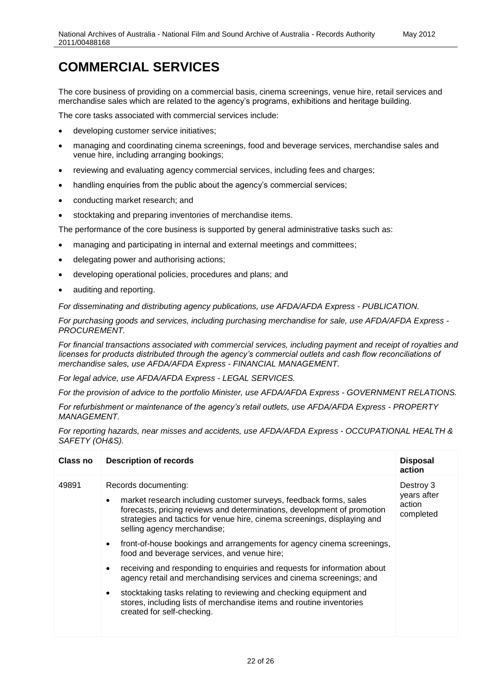#### **COMMERCIAL SERVICES**

The core business of providing on a commercial basis, cinema screenings, venue hire, retail services and merchandise sales which are related to the agency's programs, exhibitions and heritage building.

The core tasks associated with commercial services include:

- developing customer service initiatives;
- managing and coordinating cinema screenings, food and beverage services, merchandise sales and venue hire, including arranging bookings;
- reviewing and evaluating agency commercial services, including fees and charges;
- handling enquiries from the public about the agency's commercial services;
- conducting market research; and
- stocktaking and preparing inventories of merchandise items.

The performance of the core business is supported by general administrative tasks such as:

- managing and participating in internal and external meetings and committees;
- delegating power and authorising actions;
- developing operational policies, procedures and plans; and
- auditing and reporting.

*For disseminating and distributing agency publications, use AFDA/AFDA Express - PUBLICATION.*

*For purchasing goods and services, including purchasing merchandise for sale, use AFDA/AFDA Express - PROCUREMENT.*

*For financial transactions associated with commercial services, including payment and receipt of royalties and licenses for products distributed through the agency's commercial outlets and cash flow reconciliations of merchandise sales, use AFDA/AFDA Express - FINANCIAL MANAGEMENT.*

*For legal advice, use AFDA/AFDA Express - LEGAL SERVICES.*

*For the provision of advice to the portfolio Minister, use AFDA/AFDA Express - GOVERNMENT RELATIONS.*

*For refurbishment or maintenance of the agency's retail outlets, use AFDA/AFDA Express - PROPERTY MANAGEMENT.*

*For reporting hazards, near misses and accidents, use AFDA/AFDA Express - OCCUPATIONAL HEALTH & SAFETY (OH&S).*

| Class no<br><b>Description of records</b><br><b>Disposal</b><br>action                                                                                                                                                                                                                                                                                                                                                                                                                                                                                                                                                                                                                                                                                                                              |  |
|-----------------------------------------------------------------------------------------------------------------------------------------------------------------------------------------------------------------------------------------------------------------------------------------------------------------------------------------------------------------------------------------------------------------------------------------------------------------------------------------------------------------------------------------------------------------------------------------------------------------------------------------------------------------------------------------------------------------------------------------------------------------------------------------------------|--|
| 49891<br>Records documenting:<br>Destroy 3<br>years after<br>market research including customer surveys, feedback forms, sales<br>action<br>forecasts, pricing reviews and determinations, development of promotion<br>completed<br>strategies and tactics for venue hire, cinema screenings, displaying and<br>selling agency merchandise;<br>front-of-house bookings and arrangements for agency cinema screenings,<br>food and beverage services, and venue hire;<br>receiving and responding to enquiries and requests for information about<br>agency retail and merchandising services and cinema screenings; and<br>stocktaking tasks relating to reviewing and checking equipment and<br>stores, including lists of merchandise items and routine inventories<br>created for self-checking. |  |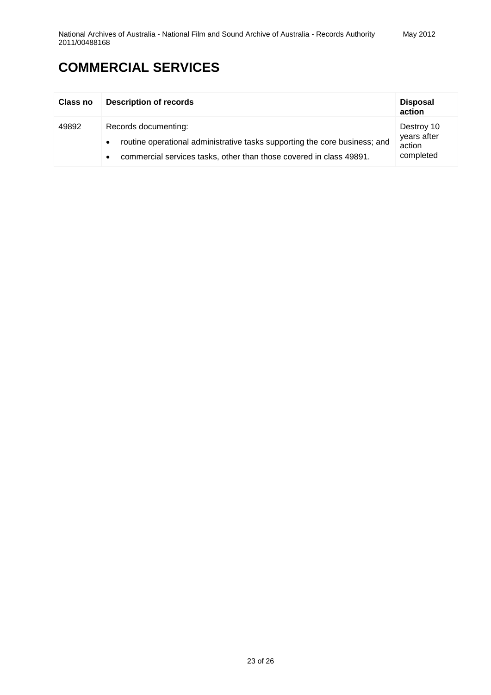#### **COMMERCIAL SERVICES**

| Class no | <b>Description of records</b>                                                                                                                                             | <b>Disposal</b><br>action                        |
|----------|---------------------------------------------------------------------------------------------------------------------------------------------------------------------------|--------------------------------------------------|
| 49892    | Records documenting:<br>routine operational administrative tasks supporting the core business; and<br>commercial services tasks, other than those covered in class 49891. | Destroy 10<br>years after<br>action<br>completed |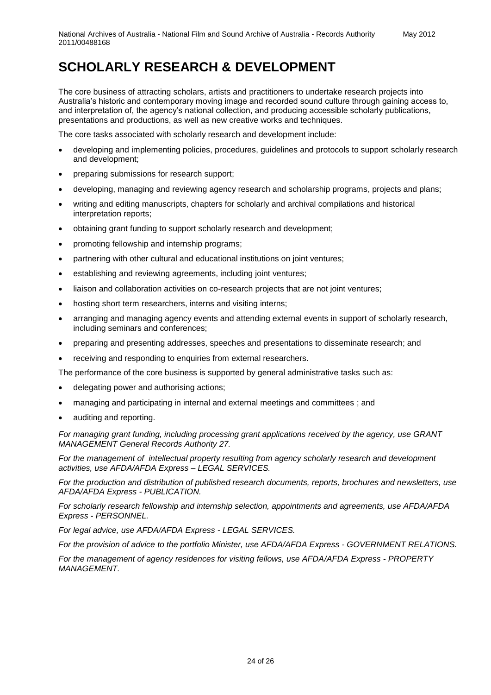# **SCHOLARLY RESEARCH & DEVELOPMENT**

The core business of attracting scholars, artists and practitioners to undertake research projects into Australia's historic and contemporary moving image and recorded sound culture through gaining access to, and interpretation of, the agency's national collection, and producing accessible scholarly publications, presentations and productions, as well as new creative works and techniques.

The core tasks associated with scholarly research and development include:

- developing and implementing policies, procedures, guidelines and protocols to support scholarly research and development;
- preparing submissions for research support;
- developing, managing and reviewing agency research and scholarship programs, projects and plans;
- writing and editing manuscripts, chapters for scholarly and archival compilations and historical interpretation reports;
- obtaining grant funding to support scholarly research and development;
- promoting fellowship and internship programs;
- partnering with other cultural and educational institutions on joint ventures;
- establishing and reviewing agreements, including joint ventures;
- liaison and collaboration activities on co-research projects that are not joint ventures;
- hosting short term researchers, interns and visiting interns;
- arranging and managing agency events and attending external events in support of scholarly research, including seminars and conferences;
- preparing and presenting addresses, speeches and presentations to disseminate research; and
- receiving and responding to enquiries from external researchers.

The performance of the core business is supported by general administrative tasks such as:

- delegating power and authorising actions;
- managing and participating in internal and external meetings and committees ; and
- auditing and reporting.

*For managing grant funding, including processing grant applications received by the agency, use GRANT MANAGEMENT General Records Authority 27.*

*For the management of intellectual property resulting from agency scholarly research and development activities, use AFDA/AFDA Express – LEGAL SERVICES.*

*For the production and distribution of published research documents, reports, brochures and newsletters, use AFDA/AFDA Express - PUBLICATION.*

*For scholarly research fellowship and internship selection, appointments and agreements, use AFDA/AFDA Express - PERSONNEL.*

*For legal advice, use AFDA/AFDA Express - LEGAL SERVICES.*

*For the provision of advice to the portfolio Minister, use AFDA/AFDA Express - GOVERNMENT RELATIONS.*

*For the management of agency residences for visiting fellows, use AFDA/AFDA Express - PROPERTY MANAGEMENT.*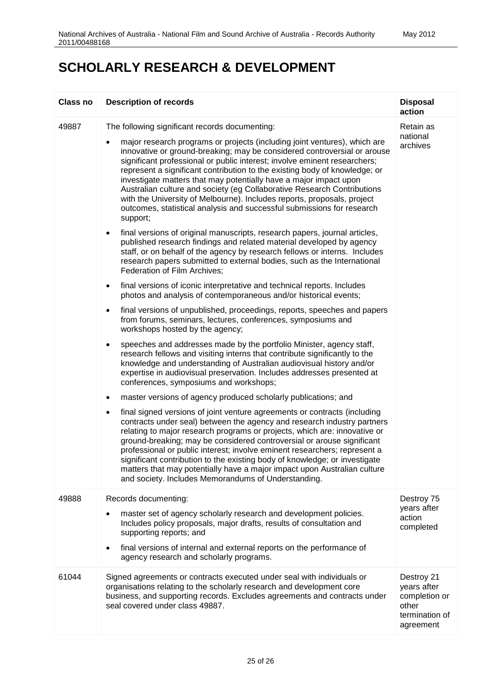#### **SCHOLARLY RESEARCH & DEVELOPMENT**

| Class no | <b>Description of records</b>                                                                                                                                                                                                                                                                                                                                                                                                                                                                                                                                                                                                                                                                                                                                                                                                                                                                                                                                                                                                                                                                                                                                                                                                                                                                                                                                                                                                                                                                                                                                                                                                                                                                                                                                                                                                                                                                                                                                                                                                                                                                                                                                                                                                                                                                                                                                                                                                                                                   | <b>Disposal</b><br>action                                                          |
|----------|---------------------------------------------------------------------------------------------------------------------------------------------------------------------------------------------------------------------------------------------------------------------------------------------------------------------------------------------------------------------------------------------------------------------------------------------------------------------------------------------------------------------------------------------------------------------------------------------------------------------------------------------------------------------------------------------------------------------------------------------------------------------------------------------------------------------------------------------------------------------------------------------------------------------------------------------------------------------------------------------------------------------------------------------------------------------------------------------------------------------------------------------------------------------------------------------------------------------------------------------------------------------------------------------------------------------------------------------------------------------------------------------------------------------------------------------------------------------------------------------------------------------------------------------------------------------------------------------------------------------------------------------------------------------------------------------------------------------------------------------------------------------------------------------------------------------------------------------------------------------------------------------------------------------------------------------------------------------------------------------------------------------------------------------------------------------------------------------------------------------------------------------------------------------------------------------------------------------------------------------------------------------------------------------------------------------------------------------------------------------------------------------------------------------------------------------------------------------------------|------------------------------------------------------------------------------------|
| 49887    | The following significant records documenting:<br>major research programs or projects (including joint ventures), which are<br>innovative or ground-breaking; may be considered controversial or arouse<br>significant professional or public interest; involve eminent researchers;<br>represent a significant contribution to the existing body of knowledge; or<br>investigate matters that may potentially have a major impact upon<br>Australian culture and society (eg Collaborative Research Contributions<br>with the University of Melbourne). Includes reports, proposals, project<br>outcomes, statistical analysis and successful submissions for research<br>support;<br>final versions of original manuscripts, research papers, journal articles,<br>$\bullet$<br>published research findings and related material developed by agency<br>staff, or on behalf of the agency by research fellows or interns. Includes<br>research papers submitted to external bodies, such as the International<br>Federation of Film Archives;<br>final versions of iconic interpretative and technical reports. Includes<br>$\bullet$<br>photos and analysis of contemporaneous and/or historical events;<br>final versions of unpublished, proceedings, reports, speeches and papers<br>$\bullet$<br>from forums, seminars, lectures, conferences, symposiums and<br>workshops hosted by the agency;<br>speeches and addresses made by the portfolio Minister, agency staff,<br>$\bullet$<br>research fellows and visiting interns that contribute significantly to the<br>knowledge and understanding of Australian audiovisual history and/or<br>expertise in audiovisual preservation. Includes addresses presented at<br>conferences, symposiums and workshops;<br>master versions of agency produced scholarly publications; and<br>$\bullet$<br>final signed versions of joint venture agreements or contracts (including<br>$\bullet$<br>contracts under seal) between the agency and research industry partners<br>relating to major research programs or projects, which are: innovative or<br>ground-breaking; may be considered controversial or arouse significant<br>professional or public interest; involve eminent researchers; represent a<br>significant contribution to the existing body of knowledge; or investigate<br>matters that may potentially have a major impact upon Australian culture<br>and society. Includes Memorandums of Understanding. | Retain as<br>national<br>archives                                                  |
| 49888    | Records documenting:<br>master set of agency scholarly research and development policies.<br>٠<br>Includes policy proposals, major drafts, results of consultation and<br>supporting reports; and<br>final versions of internal and external reports on the performance of<br>agency research and scholarly programs.                                                                                                                                                                                                                                                                                                                                                                                                                                                                                                                                                                                                                                                                                                                                                                                                                                                                                                                                                                                                                                                                                                                                                                                                                                                                                                                                                                                                                                                                                                                                                                                                                                                                                                                                                                                                                                                                                                                                                                                                                                                                                                                                                           | Destroy 75<br>years after<br>action<br>completed                                   |
| 61044    | Signed agreements or contracts executed under seal with individuals or<br>organisations relating to the scholarly research and development core<br>business, and supporting records. Excludes agreements and contracts under<br>seal covered under class 49887.                                                                                                                                                                                                                                                                                                                                                                                                                                                                                                                                                                                                                                                                                                                                                                                                                                                                                                                                                                                                                                                                                                                                                                                                                                                                                                                                                                                                                                                                                                                                                                                                                                                                                                                                                                                                                                                                                                                                                                                                                                                                                                                                                                                                                 | Destroy 21<br>years after<br>completion or<br>other<br>termination of<br>agreement |